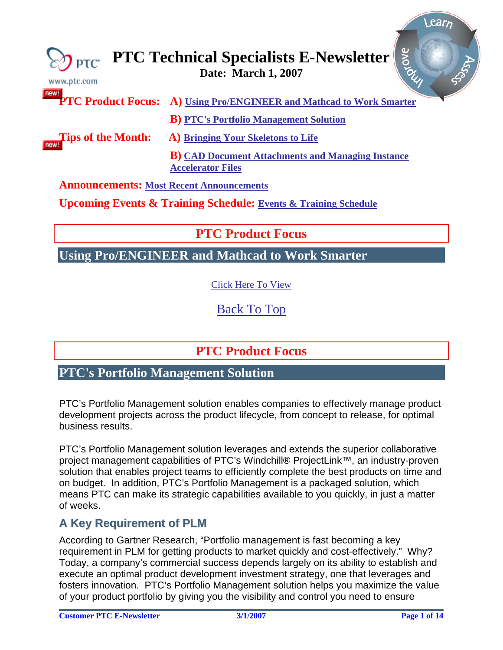<span id="page-0-0"></span>

| $\approx$ $\eta$ ptc<br>www.ptc.com             | Riove<br><b>PTC Technical Specialists E-Newsletter</b><br>Date: March 1, 2007         |
|-------------------------------------------------|---------------------------------------------------------------------------------------|
| new!                                            | <b>PTC Product Focus:</b> A) Using Pro/ENGINEER and Mathcad to Work Smarter           |
|                                                 | <b>B)</b> PTC's Portfolio Management Solution                                         |
| Tips of the Month:                              | A) Bringing Your Skeletons to Life                                                    |
|                                                 | <b>B</b> ) CAD Document Attachments and Managing Instance<br><b>Accelerator Files</b> |
| <b>Announcements: Most Recent Announcements</b> |                                                                                       |
|                                                 | <b>Upcoming Events &amp; Training Schedule: Events &amp; Training Schedule</b>        |

**PTC Product Focus** 

**Using Pro/ENGINEER and Mathcad to Work Smarter** 

[Click Here To View](http://members.shaw.ca/jpeng/newsletter/PTC_Technical_Specialists_E-Newsletter_03-01-2007_desktop.pdf)

[Back To Top](#page-0-0)

**PTC Product Focus** 

# **PTC's Portfolio Management Solution**

PTC's Portfolio Management solution enables companies to effectively manage product development projects across the product lifecycle, from concept to release, for optimal business results.

PTC's Portfolio Management solution leverages and extends the superior collaborative project management capabilities of PTC's Windchill® ProjectLink™, an industry-proven solution that enables project teams to efficiently complete the best products on time and on budget. In addition, PTC's Portfolio Management is a packaged solution, which means PTC can make its strategic capabilities available to you quickly, in just a matter of weeks.

## **A Key Requirement of PLM**

According to Gartner Research, "Portfolio management is fast becoming a key requirement in PLM for getting products to market quickly and cost-effectively." Why? Today, a company's commercial success depends largely on its ability to establish and execute an optimal product development investment strategy, one that leverages and fosters innovation. PTC's Portfolio Management solution helps you maximize the value of your product portfolio by giving you the visibility and control you need to ensure

 $102F<sub>1</sub>$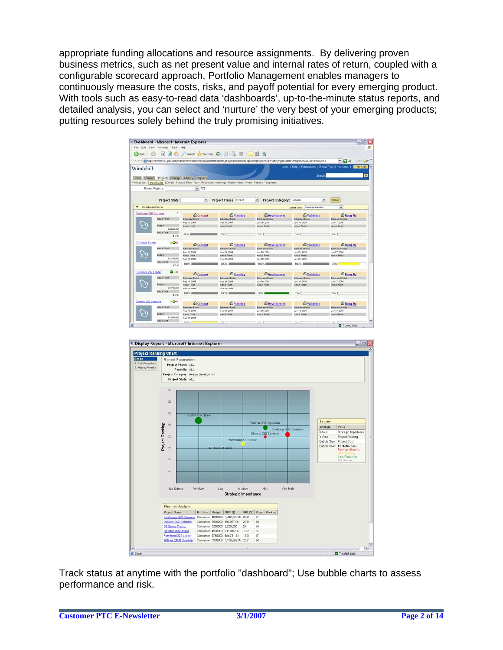appropriate funding allocations and resource assignments. By delivering proven business metrics, such as net present value and internal rates of return, coupled with a configurable scorecard approach, Portfolio Management enables managers to continuously measure the costs, risks, and payoff potential for every emerging product. With tools such as easy-to-read data 'dashboards', up-to-the-minute status reports, and detailed analysis, you can select and 'nurture' the very best of your emerging products; putting resources solely behind the truly promising initiatives.

|                                       | <sup>e</sup> Dashboard - Microsoft Internet Explorer |                                  |                                                                                                              |                                                                                                                                                 |                                                      | - 08                             |
|---------------------------------------|------------------------------------------------------|----------------------------------|--------------------------------------------------------------------------------------------------------------|-------------------------------------------------------------------------------------------------------------------------------------------------|------------------------------------------------------|----------------------------------|
|                                       | File Edit View Favorites Tools Help                  |                                  |                                                                                                              |                                                                                                                                                 |                                                      |                                  |
|                                       |                                                      |                                  |                                                                                                              |                                                                                                                                                 |                                                      |                                  |
|                                       |                                                      |                                  | <b>Oback ・ ○ - × 日 台 ○ Search ☆ Favorites ④ 〇 - 〇 〇 - 〇 〇 - 〇 〇 名</b>                                        |                                                                                                                                                 |                                                      |                                  |
|                                       |                                                      |                                  |                                                                                                              | Address & Http://centerv01.ptc.com/Windchil/hetmarkets/jsp/customReports/projectDashboard.jsp?oid=project%7Ewt.projectna.fronct2W3A23191468u8=1 |                                                      | $\times$ $52$ Go.<br>LIN DF      |
| Windchill-                            |                                                      |                                  |                                                                                                              |                                                                                                                                                 | Leam   Help   Publications   E-mail Page   Hot Links | Copy Page                        |
|                                       |                                                      |                                  |                                                                                                              |                                                                                                                                                 |                                                      |                                  |
|                                       |                                                      |                                  |                                                                                                              |                                                                                                                                                 | Search                                               | De                               |
|                                       | Home Product Project Change Library Reports          |                                  |                                                                                                              |                                                                                                                                                 |                                                      |                                  |
|                                       |                                                      |                                  | Projects List   Dashboard   Details Folders Plan Team Resources Meetings Assignments Forum Reports Templates |                                                                                                                                                 |                                                      |                                  |
|                                       | Recent Projects                                      | M <sup>e</sup> D                 |                                                                                                              |                                                                                                                                                 |                                                      |                                  |
|                                       |                                                      |                                  |                                                                                                              |                                                                                                                                                 |                                                      |                                  |
|                                       | <b>Project State:</b>                                | IM.                              | Project Phase: Kickoff                                                                                       | Project Category: General<br>M.                                                                                                                 | ×                                                    | <b>Fielnast</b>                  |
|                                       |                                                      |                                  |                                                                                                              |                                                                                                                                                 |                                                      |                                  |
| <b>Bashhoard View</b><br>$\mathbf{v}$ |                                                      |                                  |                                                                                                              |                                                                                                                                                 | Current View: Summary Artisties                      | v                                |
| Challenger 660 Combine                | ÷                                                    | Concept                          | Planning                                                                                                     | <b><i><u>C</u></i></b> Development                                                                                                              | Validation                                           | C Ramp-Up                        |
|                                       | <b>Actual Finish</b>                                 | Estimated Faugh.                 | Extenatus Finish                                                                                             | <b>Emmated Faces</b>                                                                                                                            | <b>Emmated Finish</b>                                | Emmated Finish                   |
|                                       |                                                      | Aug 18, 2004                     | Sep 29, 2004                                                                                                 | Jan 06, 2005                                                                                                                                    | Jan 14, 2005                                         | Jan 17, 2005                     |
|                                       | <b>Dudget</b>                                        | <b>Artual Finish</b>             | <b>Actual Finish</b>                                                                                         | <b>Actual Finish</b>                                                                                                                            | <b>Actual Finish</b>                                 | Astual Finish                    |
|                                       | \$4,000,000                                          |                                  |                                                                                                              |                                                                                                                                                 |                                                      |                                  |
|                                       | <b>Autual Cost</b>                                   |                                  |                                                                                                              |                                                                                                                                                 |                                                      |                                  |
|                                       | \$0.00                                               | 99%                              | 0% E                                                                                                         | 0% L                                                                                                                                            | 0% E                                                 | 0% E                             |
| <b>DT Series Tractor</b>              | ಂ                                                    |                                  |                                                                                                              |                                                                                                                                                 |                                                      |                                  |
|                                       |                                                      | Concept                          | <b>C</b> Planning                                                                                            | <b><i><u>C</u></i></b> Development                                                                                                              | <b>C</b> Validation                                  | C Ramp Up                        |
|                                       | Aubual Finish                                        | Edinated Finish                  | Extensive & Finish                                                                                           | Edinated Finish                                                                                                                                 | <b>Extensive Finish</b>                              | <b>Edinated Final</b>            |
|                                       |                                                      | Aug 16, 2004                     | Sep 29, 2004                                                                                                 | FOOD RD est.                                                                                                                                    | Jan 26, 2005                                         | Jan 27, 2005                     |
|                                       | <b>Budget</b><br>\$9,250,000                         | <b>Ashcal Finish</b>             | <b>Astual Finish</b>                                                                                         | Actual Finish                                                                                                                                   | Astual Finish                                        | <b>Astual Forum</b>              |
|                                       | <b>Astaal Cost</b>                                   | Aug 18, 2004                     | Sec 20, 2004                                                                                                 | Jan 06, 2005                                                                                                                                    | Jan 26, 2005                                         |                                  |
|                                       | \$0.00                                               | 100% B                           | 100% 1                                                                                                       | 100% 8                                                                                                                                          | 100%                                                 | 75%                              |
| Farmhand 222 Loader                   | $\bullet$ , $\circ$                                  |                                  |                                                                                                              |                                                                                                                                                 |                                                      |                                  |
|                                       |                                                      | Concept                          | Planning                                                                                                     | <b>C</b> Development                                                                                                                            | Validation                                           | E Ramp-Up                        |
|                                       | <b>Actual Finish</b>                                 | Estmated Finish                  | Extra sted Finish                                                                                            | <b>Extinuded Finish</b>                                                                                                                         | <b>Edinated Finish</b>                               | Extensive Finish                 |
|                                       |                                                      | Aug 10, 2004                     | Bes 29, 2004                                                                                                 | Jan 06, 2005                                                                                                                                    | Jan 14, 2005                                         | Jan 17, 2005                     |
|                                       | <b>Budget</b>                                        | <b>Alfrid Finish</b>             | <b>Actual Finish</b>                                                                                         | <b>Actual Finish</b>                                                                                                                            | <b>Actual Finish</b>                                 | <b>Athual Finish</b>             |
|                                       | 9 3,750,000                                          | Aug 16, 2004                     | Sep 29, 2004                                                                                                 |                                                                                                                                                 |                                                      |                                  |
|                                       | <b>Pullaul Cost</b>                                  | 100%                             | 100%                                                                                                         | 90%                                                                                                                                             | 0% E                                                 | 0% E                             |
|                                       | \$0.00                                               |                                  |                                                                                                              |                                                                                                                                                 |                                                      |                                  |
| Gleaner C62 Combine                   | 800                                                  | Concept                          | Planning                                                                                                     | <b>C</b> Development                                                                                                                            | <b>C</b> Validation                                  | C Ramp Up                        |
|                                       | <b>Pullaut Finish</b>                                |                                  |                                                                                                              |                                                                                                                                                 | Extenated Finish                                     |                                  |
|                                       |                                                      | Estimated Finish<br>Aug 16, 2004 | Estimated Finish<br>Sep 29, 2004                                                                             | <b>Estimated Finish</b><br>Jan 06, 2005                                                                                                         | Jan 14, 2005                                         | Estimated Finish<br>Jan 17, 2005 |
|                                       | <b>Budget</b>                                        | <b>Alfual Finish</b>             | <b>Artual Finish</b>                                                                                         | <b>Arhant Finish</b>                                                                                                                            | <b>Albual Finish</b>                                 | <b>Artual Fasion</b>             |
|                                       | 9 3.500.000                                          | Aug 16, 2004                     |                                                                                                              |                                                                                                                                                 |                                                      |                                  |
|                                       | <b>Actual Cost</b>                                   | a menda                          |                                                                                                              |                                                                                                                                                 |                                                      |                                  |
|                                       |                                                      |                                  |                                                                                                              |                                                                                                                                                 |                                                      |                                  |



Track status at anytime with the portfolio "dashboard"; Use bubble charts to assess performance and risk.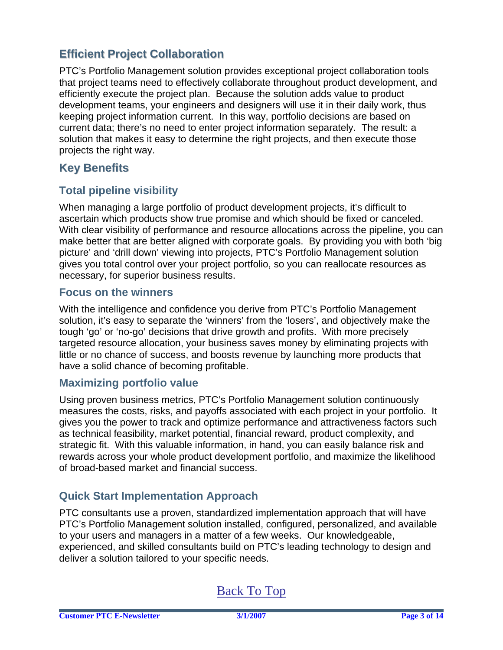## **Efficient Project Collaboration**

PTC's Portfolio Management solution provides exceptional project collaboration tools that project teams need to effectively collaborate throughout product development, and efficiently execute the project plan. Because the solution adds value to product development teams, your engineers and designers will use it in their daily work, thus keeping project information current. In this way, portfolio decisions are based on current data; there's no need to enter project information separately. The result: a solution that makes it easy to determine the right projects, and then execute those projects the right way.

## **Key Benefits**

## **Total pipeline visibility**

When managing a large portfolio of product development projects, it's difficult to ascertain which products show true promise and which should be fixed or canceled. With clear visibility of performance and resource allocations across the pipeline, you can make better that are better aligned with corporate goals. By providing you with both 'big picture' and 'drill down' viewing into projects, PTC's Portfolio Management solution gives you total control over your project portfolio, so you can reallocate resources as necessary, for superior business results.

### **Focus on the winners**

With the intelligence and confidence you derive from PTC's Portfolio Management solution, it's easy to separate the 'winners' from the 'losers', and objectively make the tough 'go' or 'no-go' decisions that drive growth and profits. With more precisely targeted resource allocation, your business saves money by eliminating projects with little or no chance of success, and boosts revenue by launching more products that have a solid chance of becoming profitable.

### **Maximizing portfolio value**

Using proven business metrics, PTC's Portfolio Management solution continuously measures the costs, risks, and payoffs associated with each project in your portfolio. It gives you the power to track and optimize performance and attractiveness factors such as technical feasibility, market potential, financial reward, product complexity, and strategic fit. With this valuable information, in hand, you can easily balance risk and rewards across your whole product development portfolio, and maximize the likelihood of broad-based market and financial success.

## **Quick Start Implementation Approach**

PTC consultants use a proven, standardized implementation approach that will have PTC's Portfolio Management solution installed, configured, personalized, and available to your users and managers in a matter of a few weeks. Our knowledgeable, experienced, and skilled consultants build on PTC's leading technology to design and deliver a solution tailored to your specific needs.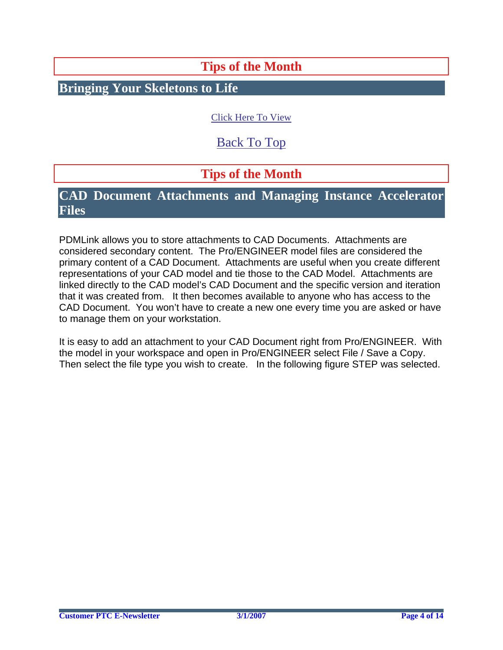# **Tips of the Month**

<span id="page-3-0"></span>**Bringing Your Skeletons to Life**

## [Click Here To View](http://members.shaw.ca/jpeng/newsletter/PTC_Technical_Specialists_E-Newsletter_03-01-2007_desktop.pdf)

# [Back To Top](#page-0-0)

# **Tips of the Month**

## **CAD Document Attachments and Managing Instance Accelerator Files**

PDMLink allows you to store attachments to CAD Documents. Attachments are considered secondary content. The Pro/ENGINEER model files are considered the primary content of a CAD Document. Attachments are useful when you create different representations of your CAD model and tie those to the CAD Model. Attachments are linked directly to the CAD model's CAD Document and the specific version and iteration that it was created from. It then becomes available to anyone who has access to the CAD Document. You won't have to create a new one every time you are asked or have to manage them on your workstation.

It is easy to add an attachment to your CAD Document right from Pro/ENGINEER. With the model in your workspace and open in Pro/ENGINEER select File / Save a Copy. Then select the file type you wish to create. In the following figure STEP was selected.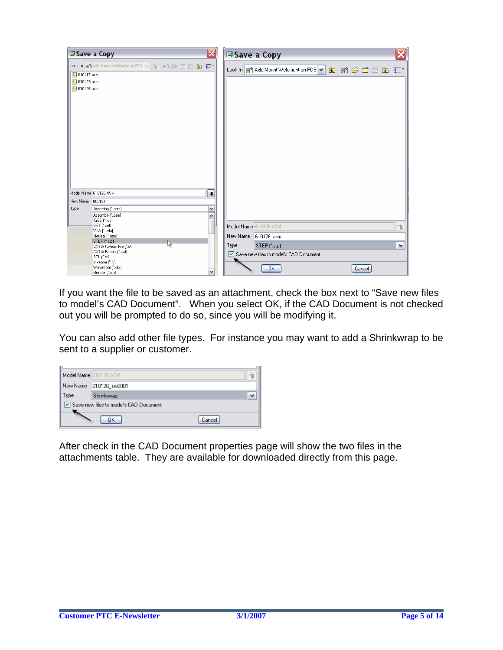

If you want the file to be saved as an attachment, check the box next to "Save new files to model's CAD Document". When you select OK, if the CAD Document is not checked out you will be prompted to do so, since you will be modifying it.

You can also add other file types. For instance you may want to add a Shrinkwrap to be sent to a supplier or customer.

|          | Model Name 610126.ASM                  |        |
|----------|----------------------------------------|--------|
| New Name | 610126_sw0001                          |        |
| Type     | Shrinkwrap                             |        |
|          | Save new files to model's CAD Document |        |
|          | ок                                     | Cancel |

After check in the CAD Document properties page will show the two files in the attachments table. They are available for downloaded directly from this page.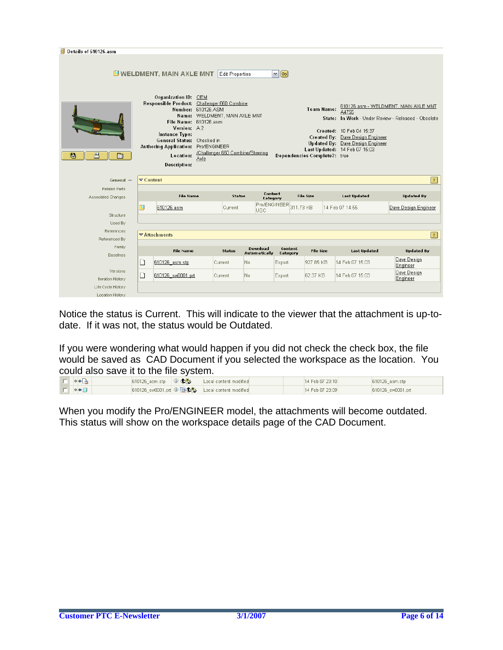| 卽<br>Details of 610126.asm           |                              |                                                                                                                                                                                                                                        |                                                             |                        |                                  |                        |                                                   |                                                                                                                                            |                                                                                             |
|--------------------------------------|------------------------------|----------------------------------------------------------------------------------------------------------------------------------------------------------------------------------------------------------------------------------------|-------------------------------------------------------------|------------------------|----------------------------------|------------------------|---------------------------------------------------|--------------------------------------------------------------------------------------------------------------------------------------------|---------------------------------------------------------------------------------------------|
|                                      |                              | <b>U WELDMENT, MAIN AXLE MNT</b>                                                                                                                                                                                                       |                                                             | <b>Edit Properties</b> |                                  | $\vee$ 60              |                                                   |                                                                                                                                            |                                                                                             |
| 匙<br>폰<br>m                          |                              | Organization ID: OEM<br>Responsible Product: Challenger 660 Combine<br>File Name: 610126.asm<br>Version: A2<br>Instance Type:<br>General Status: Checked in<br>Authoring Application: Pro/ENGINEER<br>Location:<br><b>Description:</b> | Number: 610126.ASM<br>Name: WELDMENT, MAIN AXLE MNT<br>Axle |                        | /Challenger 660 Combine/Steering |                        | <b>Team Name:</b><br>Dependencies Complete?: true | A4755<br>Created: 10 Feb 04 15:37<br>Created By: Dave Design Engineer<br>Updated By: Dave Design Engineer<br>Last Updated: 14 Feb 07 15:03 | 610126.asm - WELDMENT, MAIN AXLE MNT<br>State: In Work - Under Review - Released - Obsolete |
| $General -$                          | $\blacktriangledown$ Content |                                                                                                                                                                                                                                        |                                                             |                        |                                  |                        |                                                   |                                                                                                                                            | $\overline{?}$                                                                              |
| <b>Related Parts</b>                 |                              |                                                                                                                                                                                                                                        |                                                             |                        |                                  |                        |                                                   |                                                                                                                                            |                                                                                             |
| Associated Changes                   |                              | <b>File Name</b>                                                                                                                                                                                                                       |                                                             | Status                 | Content<br>Category              |                        | <b>File Size</b>                                  | <b>Last Updated</b>                                                                                                                        | <b>Updated By</b>                                                                           |
| Structure                            | 口                            | 610126.asm                                                                                                                                                                                                                             |                                                             | Current                | UGC                              | Pro/ENGINEER 311.73 KB |                                                   | 14 Feb 07 14:55                                                                                                                            | Dave Design Engineer                                                                        |
| Used By                              |                              |                                                                                                                                                                                                                                        |                                                             |                        |                                  |                        |                                                   |                                                                                                                                            |                                                                                             |
| References<br>Referenced By          |                              | $\nabla$ Attachments                                                                                                                                                                                                                   |                                                             |                        |                                  |                        |                                                   |                                                                                                                                            | $\left  \cdot \right $                                                                      |
| Family                               |                              | <b>File Name</b>                                                                                                                                                                                                                       |                                                             | Status                 | Download<br><b>Automatically</b> | Content<br>Category    | <b>File Size</b>                                  | <b>Last Updated</b>                                                                                                                        | <b>Updated By</b>                                                                           |
| Baselines                            | □                            | 610126 asm.stp                                                                                                                                                                                                                         |                                                             | Current                | No.                              | Export                 | 927.85 KB                                         | 14 Feb 07 15:03                                                                                                                            | Dave Design<br>Engineer                                                                     |
| Versions<br><b>Iteration History</b> | ◘                            | 610126 sw0001.prt                                                                                                                                                                                                                      |                                                             | Current                | No.                              | Export                 | 62.37 KB                                          | 14 Feb 07 15:03                                                                                                                            | Dave Design<br>Engineer                                                                     |
|                                      |                              |                                                                                                                                                                                                                                        |                                                             |                        |                                  |                        |                                                   |                                                                                                                                            |                                                                                             |

Notice the status is Current. This will indicate to the viewer that the attachment is up-todate. If it was not, the status would be Outdated.

If you were wondering what would happen if you did not check the check box, the file would be saved as CAD Document if you selected the workspace as the location. You could also save it to the file system.

| $\Box$ * $\Box$          | 610126 asm.stp $\begin{array}{ c c c c c }\n\hline\n\text{610126} & \text{as} & \text{610} & \text{610} & \text{610} & \text{610} & \text{610} & \text{610} & \text{610} & \text{610} & \text{610} & \text{610} & \text{610} & \text{610} & \text{610} & \text{610} & \text{610} & \text{610} & \text{610} & \text{610} & \text{610} & \text{610} & \text{610$ | Local content modified                                              | 14 Feb 07 23:10 | 610126_asm.stp    |
|--------------------------|----------------------------------------------------------------------------------------------------------------------------------------------------------------------------------------------------------------------------------------------------------------------------------------------------------------------------------------------------------------|---------------------------------------------------------------------|-----------------|-------------------|
| $\Box$ * $\vdash$ $\Box$ |                                                                                                                                                                                                                                                                                                                                                                | 610126 sw0001.prt $\oplus \boxdot \bigoplus$ Local content modified | 14 Feb 07 23:09 | 610126_sw0001.prt |

When you modify the Pro/ENGINEER model, the attachments will become outdated. This status will show on the workspace details page of the CAD Document.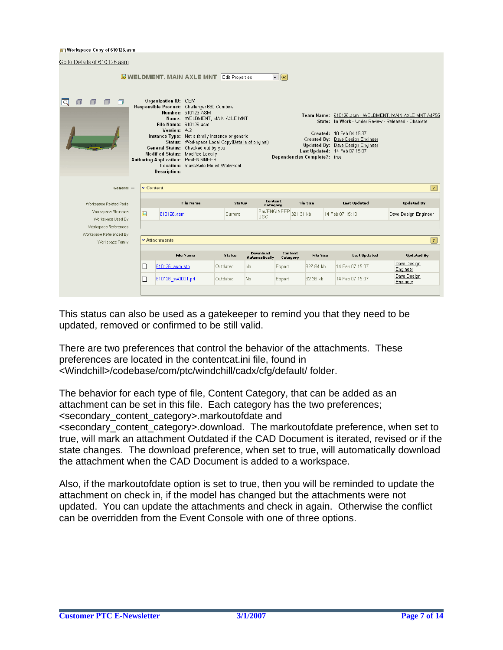#### 日 Workspace Copy of 610126.asm

| Go to Details of 610126.asm                     |   |                                                                                                                                                                                                                      |                                                                                    |                                                                                                                                       |                                  |                        |                              |                                                                                                                                                                                          |                                                       |
|-------------------------------------------------|---|----------------------------------------------------------------------------------------------------------------------------------------------------------------------------------------------------------------------|------------------------------------------------------------------------------------|---------------------------------------------------------------------------------------------------------------------------------------|----------------------------------|------------------------|------------------------------|------------------------------------------------------------------------------------------------------------------------------------------------------------------------------------------|-------------------------------------------------------|
|                                                 |   |                                                                                                                                                                                                                      |                                                                                    | <b>WELDMENT, MAIN AXLE MNT</b> Edit Properties                                                                                        |                                  | $\bullet$ $\circ$      |                              |                                                                                                                                                                                          |                                                       |
| $\Box$<br>⊜<br>血<br>lQ.                         |   | Organization ID: OEM<br>Responsible Product: Challenger 660 Combine<br>Version: A2<br>General Status: Checked out by you<br>Modified Status: Modified Locally<br>Authoring Application: Pro/ENGINEER<br>Description: | Number: 610126.ASM<br>File Name: 610126.asm<br>Location: /dave/Axle Mount Weldment | Name: WELDMENT, MAIN AXLE MNT<br>Instance Type: Not a family instance or generic<br>Status: Workspace Local Copy(Details of original) |                                  |                        | Dependencies Complete?: true | State: In Work - Under Review - Released - Obsolete<br>Created: 10 Feb 04 15:37<br>Created By: Dave Design Engineer<br>Updated By: Dave Design Engineer<br>Last Updated: 14 Feb 07 15:07 | Team Name: 610126.asm - WELDMENT, MAIN AXLE MNT A4755 |
| $General -$                                     |   | $\triangledown$ Content                                                                                                                                                                                              |                                                                                    |                                                                                                                                       |                                  |                        |                              |                                                                                                                                                                                          | $\vert$ ?                                             |
| Workspace Related Parts                         |   |                                                                                                                                                                                                                      | <b>File Name</b>                                                                   | Status                                                                                                                                | Content<br>Category              |                        | <b>File Size</b>             | <b>Last Updated</b>                                                                                                                                                                      | <b>Updated By</b>                                     |
| Workspace Structure<br>Workspace Used By        | 冚 | 610126.asm                                                                                                                                                                                                           |                                                                                    | Current                                                                                                                               | <b>UGC</b>                       | Pro/ENGINEER 321.31 kb |                              | 14 Feb 07 15:10                                                                                                                                                                          | Dave Design Engineer                                  |
| Workspace References<br>Workspace Referenced By |   |                                                                                                                                                                                                                      |                                                                                    |                                                                                                                                       |                                  |                        |                              |                                                                                                                                                                                          |                                                       |
| Workspace Family                                |   | $\nabla$ Attachments                                                                                                                                                                                                 |                                                                                    |                                                                                                                                       |                                  |                        |                              |                                                                                                                                                                                          | $\overline{?}$                                        |
|                                                 |   |                                                                                                                                                                                                                      | <b>File Name</b>                                                                   | <b>Status</b>                                                                                                                         | <b>Download</b><br>Automatically | Content<br>Category    | <b>File Size</b>             | <b>Last Updated</b>                                                                                                                                                                      | <b>Updated By</b>                                     |
|                                                 | n | 610126_asm.stp                                                                                                                                                                                                       |                                                                                    | Outdated                                                                                                                              | No.                              | Export                 | 927.84 kb                    | 14 Feb 07 15:07                                                                                                                                                                          | Dave Design<br>Engineer                               |
|                                                 |   |                                                                                                                                                                                                                      |                                                                                    |                                                                                                                                       |                                  |                        | 62.36 kb                     | 14 Feb 07 15:07                                                                                                                                                                          | Dave Design                                           |
|                                                 | n | 610126 sw0001.prt                                                                                                                                                                                                    |                                                                                    | Outdated                                                                                                                              | No.                              | Export                 |                              |                                                                                                                                                                                          | Engineer                                              |

This status can also be used as a gatekeeper to remind you that they need to be updated, removed or confirmed to be still valid.

There are two preferences that control the behavior of the attachments. These preferences are located in the contentcat.ini file, found in <Windchill>/codebase/com/ptc/windchill/cadx/cfg/default/ folder.

The behavior for each type of file, Content Category, that can be added as an attachment can be set in this file. Each category has the two preferences; <secondary\_content\_category>.markoutofdate and

<secondary\_content\_category>.download. The markoutofdate preference, when set to true, will mark an attachment Outdated if the CAD Document is iterated, revised or if the state changes. The download preference, when set to true, will automatically download the attachment when the CAD Document is added to a workspace.

Also, if the markoutofdate option is set to true, then you will be reminded to update the attachment on check in, if the model has changed but the attachments were not updated. You can update the attachments and check in again. Otherwise the conflict can be overridden from the Event Console with one of three options.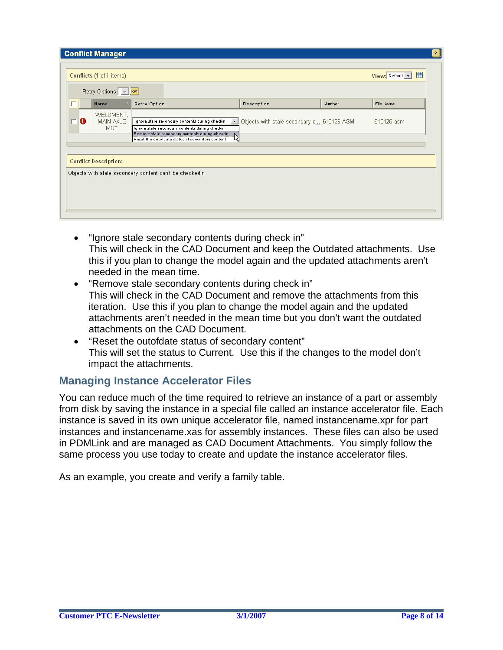|        | <b>Conflict Manager</b>        |                                                                                                                                                                                                                       |                                           |        | $\mathcal{P}$                     |
|--------|--------------------------------|-----------------------------------------------------------------------------------------------------------------------------------------------------------------------------------------------------------------------|-------------------------------------------|--------|-----------------------------------|
|        | Conflicts (1 of 1 items)       |                                                                                                                                                                                                                       |                                           |        | 驆<br>$View:$ Default $\mathbf{v}$ |
|        | Retry Options: [ - Set]        |                                                                                                                                                                                                                       |                                           |        |                                   |
| $\Box$ | <b>Name</b>                    | Retry Option                                                                                                                                                                                                          | Description                               | Number | File Name                         |
| О      | WELDMENT,<br>MAIN AXLE<br>MNT. | Ignore stale secondary contents during checkin<br>$\cdot$<br>Ignore stale secondary contents during checkin<br>Remove stale secondary contents during checkin<br>Ŋ<br>Reset the outofdate status of secondary content | Objects with stale secondary c 610126.ASM |        | 610126.asm                        |
|        | <b>Conflict Description:</b>   |                                                                                                                                                                                                                       |                                           |        |                                   |
|        |                                | Objects with stale secondary content can't be checkedin.                                                                                                                                                              |                                           |        |                                   |
|        |                                |                                                                                                                                                                                                                       |                                           |        |                                   |
|        |                                |                                                                                                                                                                                                                       |                                           |        |                                   |
|        |                                |                                                                                                                                                                                                                       |                                           |        |                                   |

- "Ignore stale secondary contents during check in" This will check in the CAD Document and keep the Outdated attachments. Use this if you plan to change the model again and the updated attachments aren't needed in the mean time.
- "Remove stale secondary contents during check in" This will check in the CAD Document and remove the attachments from this iteration. Use this if you plan to change the model again and the updated attachments aren't needed in the mean time but you don't want the outdated attachments on the CAD Document.
- "Reset the outofdate status of secondary content" This will set the status to Current. Use this if the changes to the model don't impact the attachments.

## **Managing Instance Accelerator Files**

You can reduce much of the time required to retrieve an instance of a part or assembly from disk by saving the instance in a special file called an instance accelerator file. Each instance is saved in its own unique accelerator file, named instancename.xpr for part instances and instancename.xas for assembly instances. These files can also be used in PDMLink and are managed as CAD Document Attachments. You simply follow the same process you use today to create and update the instance accelerator files.

As an example, you create and verify a family table.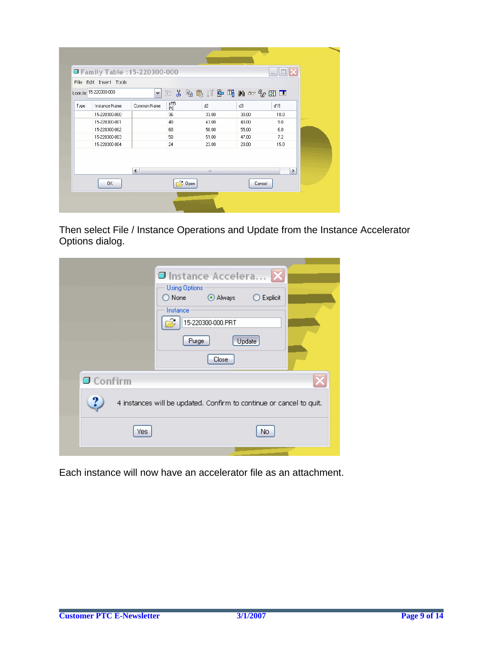|      | Family Table : 15-220300-000<br>File Edit Insert Tools |                        |           |              |        | $\overline{a}$ |  |
|------|--------------------------------------------------------|------------------------|-----------|--------------|--------|----------------|--|
|      | Look In: 15-220300-000                                 | $\vee$                 |           | 白英鱼扁形异哺的双名团团 |        |                |  |
| Type | Instance Name                                          | Common Name            | p55<br>P0 | d2           | d3     | d19            |  |
|      | 15-220300-000                                          |                        | 36        | 33.00        | 30.00  | 10.0           |  |
|      | 15-220300-001                                          |                        | 40        | 43.00        | 40.00  | 9.0            |  |
|      | 15-220300-002                                          |                        | 60        | 58.00        | 55.00  | 6.0            |  |
|      | 15-220300-003                                          |                        | 50        | 51.00        | 47.00  | 7.2            |  |
|      | 15-220300-004                                          |                        | 24        | 23.00        | 20.00  | 15.0           |  |
|      |                                                        | $\left  \cdot \right $ |           | III.         |        | ≯              |  |
|      | 0K                                                     |                        | Open      |              | Cancel |                |  |

Then select File / Instance Operations and Update from the Instance Accelerator Options dialog.

| Instance Accelera X<br><b>Using Options</b><br>Always<br>Explicit<br>$\bigcirc$ None $\qquad$<br>Instance<br>15-220300-000.PRT<br>Update<br>Purge<br>Close |  |
|------------------------------------------------------------------------------------------------------------------------------------------------------------|--|
| Confirm                                                                                                                                                    |  |
| ?.<br>4 instances will be updated. Confirm to continue or cancel to quit.                                                                                  |  |
| Yes<br>Nο                                                                                                                                                  |  |
|                                                                                                                                                            |  |

Each instance will now have an accelerator file as an attachment.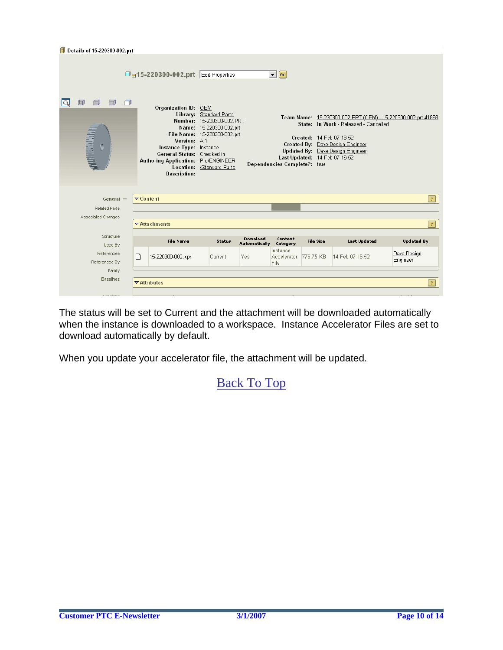|   | <b>Details of 15-220300-002.prt</b> |                  |                                                                                                                                                                  |                                                                                                                                    |                           |                                        |                                                           |                                                                                                               |                                                              |
|---|-------------------------------------|------------------|------------------------------------------------------------------------------------------------------------------------------------------------------------------|------------------------------------------------------------------------------------------------------------------------------------|---------------------------|----------------------------------------|-----------------------------------------------------------|---------------------------------------------------------------------------------------------------------------|--------------------------------------------------------------|
|   |                                     |                  | □ <sub>日</sub> 15-220300-002.prt Edit Properties                                                                                                                 |                                                                                                                                    |                           | $\blacksquare$ @                       |                                                           |                                                                                                               |                                                              |
| 旬 | ∩<br><b>ANDERSON</b>                |                  | Organization ID: OEM<br>Version: A1<br>Instance Type: Instance<br>General Status: Checked in<br>Authoring Application: Pro/ENGINEER<br>Location:<br>Description: | Library: Standard Parts<br>Number: 15-220300-002.PRT<br>Name: 15-220300-002.prt<br>File Name: 15-220300-002.prt<br>/Standard Parts |                           | Dependencies Complete?: true           | Created: 14 Feb 07 16:52<br>Last Updated: 14 Feb 07 16:52 | State: In Work - Released - Cancelled<br>Created By: Dave Design Engineer<br>Updated By: Dave Design Engineer | Team Name: 15-220300-002.PRT (OEM) - 15-220300-002.prt 41868 |
|   | $General -$                         | <b>▽ Content</b> |                                                                                                                                                                  |                                                                                                                                    |                           |                                        |                                                           |                                                                                                               | $\vert$ ?                                                    |
|   | <b>Related Parts</b>                |                  |                                                                                                                                                                  |                                                                                                                                    |                           |                                        |                                                           |                                                                                                               |                                                              |
|   | Associated Changes                  |                  |                                                                                                                                                                  |                                                                                                                                    |                           |                                        |                                                           |                                                                                                               |                                                              |
|   |                                     |                  | $\triangledown$ Attachments                                                                                                                                      |                                                                                                                                    |                           |                                        |                                                           |                                                                                                               | ?                                                            |
|   | Structure<br>Used By                |                  | <b>File Name</b>                                                                                                                                                 | Status                                                                                                                             | Download<br>Automatically | Content<br>Category                    | <b>File Size</b>                                          | <b>Last Updated</b>                                                                                           | <b>Updated By</b>                                            |
|   | References<br>Referenced By         | $\Box$           | 15-220300-002.xpr                                                                                                                                                | Current                                                                                                                            | Yes.                      | Instance<br><b>Accelerator</b><br>File | 776.75 KB                                                 | 14 Feb 07 16:52                                                                                               | Dave Design<br>Engineer                                      |
|   | Family                              |                  |                                                                                                                                                                  |                                                                                                                                    |                           |                                        |                                                           |                                                                                                               |                                                              |
|   | <b>Baselines</b>                    |                  | $\blacktriangledown$ Attributes                                                                                                                                  |                                                                                                                                    |                           |                                        |                                                           |                                                                                                               | $\mathbf{?}$                                                 |
|   | <b><i>Manufacture</i></b>           |                  |                                                                                                                                                                  |                                                                                                                                    |                           |                                        |                                                           |                                                                                                               |                                                              |

The status will be set to Current and the attachment will be downloaded automatically when the instance is downloaded to a workspace. Instance Accelerator Files are set to download automatically by default.

When you update your accelerator file, the attachment will be updated.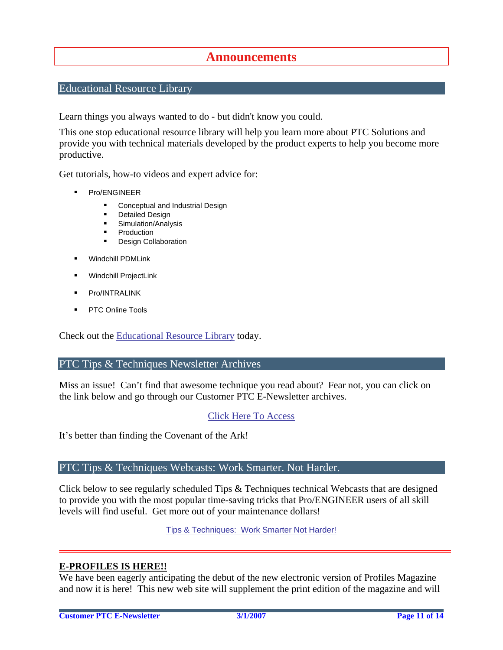## **Announcements**

### <span id="page-10-0"></span>Educational Resource Library

Learn things you always wanted to do - but didn't know you could.

This one stop educational resource library will help you learn more about PTC Solutions and provide you with technical materials developed by the product experts to help you become more productive.

Get tutorials, how-to videos and expert advice for:

- **Pro/ENGINEER** 
	- **EXECONCEPT** Conceptual and Industrial Design
	- **•** Detailed Design
	- **Simulation/Analysis**
	- Production
	- **Design Collaboration**
- Windchill PDMLink
- Windchill ProjectLink
- Pro/INTRALINK
- PTC Online Tools

Check out the [Educational Resource Library](http://www.ptc.com/community/proewf/newtools/tutorials.htm) today.

### PTC Tips & Techniques Newsletter Archives

Miss an issue! Can't find that awesome technique you read about? Fear not, you can click on the link below and go through our Customer PTC E-Newsletter archives.

### [Click Here To Access](http://www.ptc.com/carezone/archive/index.htm)

It's better than finding the Covenant of the Ark!

### PTC Tips & Techniques Webcasts: Work Smarter. Not Harder.

Click below to see regularly scheduled Tips & Techniques technical Webcasts that are designed to provide you with the most popular time-saving tricks that Pro/ENGINEER users of all skill levels will find useful. Get more out of your maintenance dollars!

Tips & Techniques: Work Smarter Not Harder!

### **E-PROFILES IS HERE!!**

We have been eagerly anticipating the debut of the new electronic version of Profiles Magazine and now it is here! This new web site will supplement the print edition of the magazine and will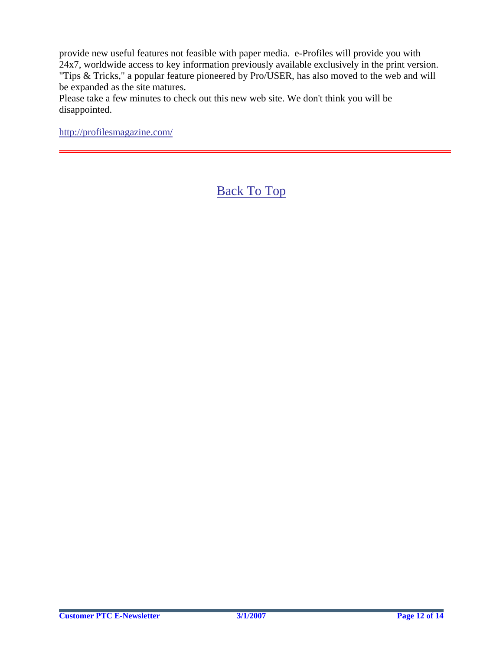provide new useful features not feasible with paper media. e-Profiles will provide you with 24x7, worldwide access to key information previously available exclusively in the print version. "Tips & Tricks," a popular feature pioneered by Pro/USER, has also moved to the web and will be expanded as the site matures.

Please take a few minutes to check out this new web site. We don't think you will be disappointed.

<http://profilesmagazine.com/>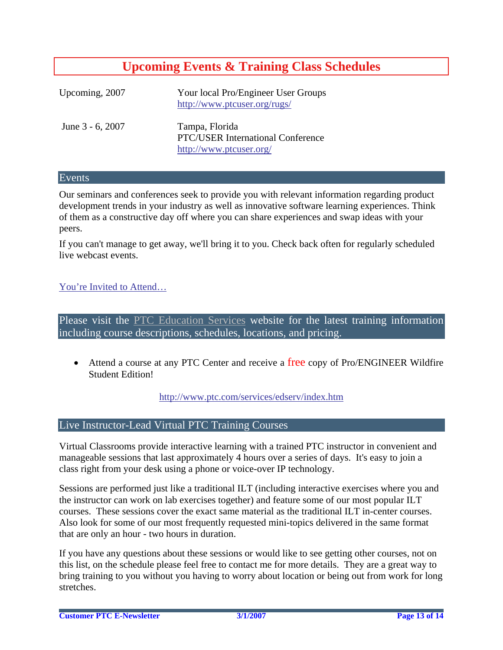# **Upcoming Events & Training Class Schedules**

<span id="page-12-0"></span>

| Upcoming, 2007   | Your local Pro/Engineer User Groups<br>http://www.ptcuser.org/rugs/                   |
|------------------|---------------------------------------------------------------------------------------|
| June 3 - 6, 2007 | Tampa, Florida<br><b>PTC/USER International Conference</b><br>http://www.ptcuser.org/ |

### Events

Our seminars and conferences seek to provide you with relevant information regarding product development trends in your industry as well as innovative software learning experiences. Think of them as a constructive day off where you can share experiences and swap ideas with your peers.

If you can't manage to get away, we'll bring it to you. Check back often for regularly scheduled live webcast events.

### [You're Invited to Attend…](http://www.ptc.com/company/news/events/index.htm)

Please visit the [PTC Education Services](http://www.ptc.com/services/edserv/) website for the latest training information including course descriptions, schedules, locations, and pricing.

• Attend a course at any PTC Center and receive a free copy of Pro/ENGINEER Wildfire Student Edition!

<http://www.ptc.com/services/edserv/index.htm>

### Live Instructor-Lead Virtual PTC Training Courses

Virtual Classrooms provide interactive learning with a trained PTC instructor in convenient and manageable sessions that last approximately 4 hours over a series of days. It's easy to join a class right from your desk using a phone or voice-over IP technology.

Sessions are performed just like a traditional ILT (including interactive exercises where you and the instructor can work on lab exercises together) and feature some of our most popular ILT courses. These sessions cover the exact same material as the traditional ILT in-center courses. Also look for some of our most frequently requested mini-topics delivered in the same format that are only an hour - two hours in duration.

If you have any questions about these sessions or would like to see getting other courses, not on this list, on the schedule please feel free to contact me for more details. They are a great way to bring training to you without you having to worry about location or being out from work for long stretches.